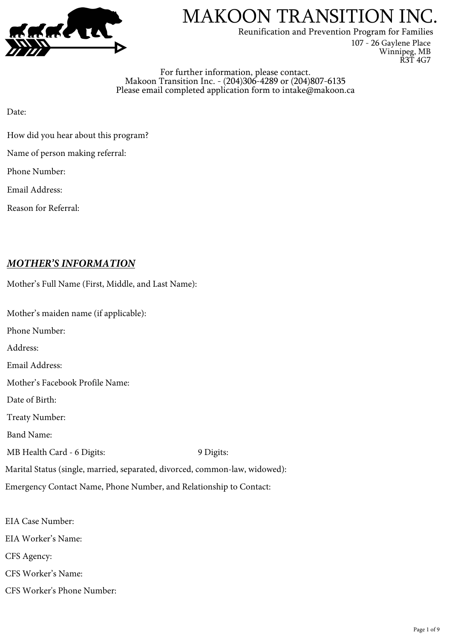

Reunification and Prevention Program for Families

107 - 26 Gaylene Place Winnipeg, MB R3T 4G7

For further information, please contact. Makoon Transition Inc. - (204)306-4289 or (204)807-6135 Please email completed application form to intake@makoon.ca

Date:

- How did you hear about this program?
- Name of person making referral:

Phone Number:

Email Address:

Reason for Referral:

## *MOTHER'S INFORMATION*

| Mother's Full Name (First, Middle, and Last Name):                          |           |
|-----------------------------------------------------------------------------|-----------|
| Mother's maiden name (if applicable):                                       |           |
| Phone Number:                                                               |           |
| Address:                                                                    |           |
| Email Address:                                                              |           |
| Mother's Facebook Profile Name:                                             |           |
| Date of Birth:                                                              |           |
| <b>Treaty Number:</b>                                                       |           |
| <b>Band Name:</b>                                                           |           |
| MB Health Card - 6 Digits:                                                  | 9 Digits: |
| Marital Status (single, married, separated, divorced, common-law, widowed): |           |
| Emergency Contact Name, Phone Number, and Relationship to Contact:          |           |
|                                                                             |           |

EIA Case Number: EIA Worker's Name: CFS Agency: CFS Worker's Name: CFS Worker's Phone Number: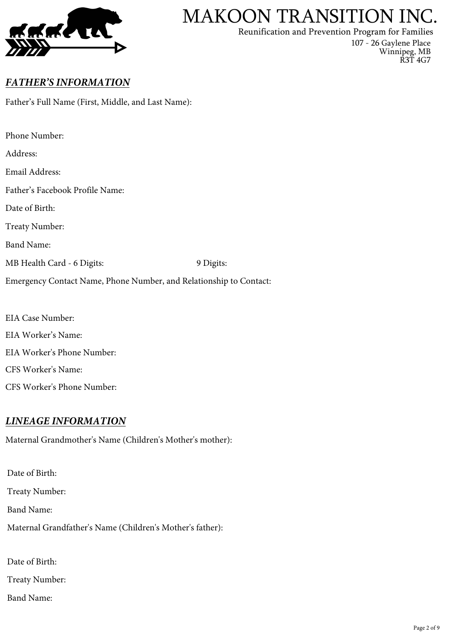

Reunification and Prevention Program for Families

107 - 26 Gaylene Place Winnipeg, MB R3T 4G7

## *FATH ER'S INFORMATION*

Father's Full Name (First, Middle, and Last Name):

| Phone Number:                                                      |           |  |
|--------------------------------------------------------------------|-----------|--|
| Address:                                                           |           |  |
| Email Address:                                                     |           |  |
| Father's Facebook Profile Name:                                    |           |  |
| Date of Birth:                                                     |           |  |
| <b>Treaty Number:</b>                                              |           |  |
| <b>Band Name:</b>                                                  |           |  |
| MB Health Card - 6 Digits:                                         | 9 Digits: |  |
| Emergency Contact Name, Phone Number, and Relationship to Contact: |           |  |

EIA Case Number: EIA Worker's Name: EIA Worker's Phone Number: CFS Worker's Name: CFS Worker's Phone Number:

## *LIN EAGE INFORMAT ION*

Maternal Grandmother's Name (Children's Mother's mother):

Date of Birth: Treaty Number: Band Name: Maternal Grandfather's Name (Children's Mother's father): Date of Birth:

Treaty Number:

Band Name: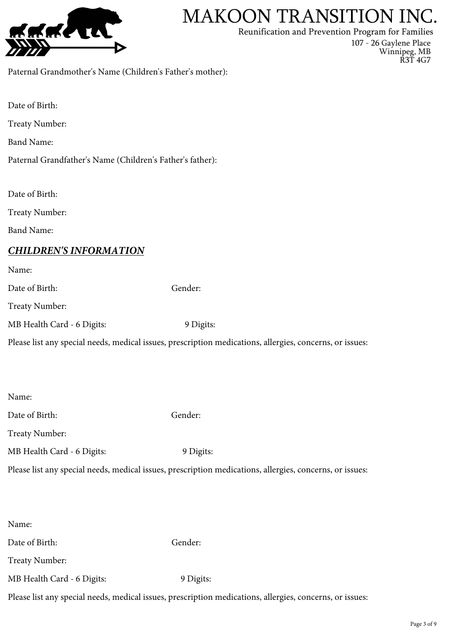

Reunification and Prevention Program for Families

107 - 26 Gaylene Place

Winnipeg, MB R3T 4G7

Paternal Grandmother's Name (Children's Father's mother):

Date of Birth: Treaty Number: Band Name: Paternal Grandfather's Name (Children's Father's father): Date of Birth: Treaty Number: Band Name: *CHILDREN'S INFORMAT ION* Name: Date of Birth: Gender: Treaty Number: MB Health Card - 6 Digits: 9 Digits: Please list any special needs, medical issues, prescription medications, allergies, concerns, or issues: Name: Date of Birth: Gender: Treaty Number: MB Health Card - 6 Digits: 9 Digits: Please list any special needs, medical issues, prescription medications, allergies, concerns, or issues:

| Name:                      |                                                                                                          |
|----------------------------|----------------------------------------------------------------------------------------------------------|
| Date of Birth:             | Gender:                                                                                                  |
| Treaty Number:             |                                                                                                          |
| MB Health Card - 6 Digits: | 9 Digits:                                                                                                |
|                            | Please list any special needs, medical issues, prescription medications, allergies, concerns, or issues: |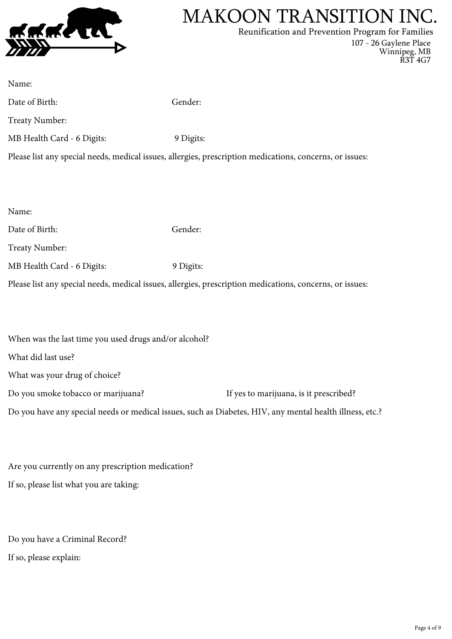

Reunification and Prevention Program for Families

107 - 26 Gaylene Place Winnipeg, MB R3T 4G7

| Name:                      |                                                                                                          |
|----------------------------|----------------------------------------------------------------------------------------------------------|
| Date of Birth:             | Gender:                                                                                                  |
| <b>Treaty Number:</b>      |                                                                                                          |
| MB Health Card - 6 Digits: | 9 Digits:                                                                                                |
|                            | Please list any special needs, medical issues, allergies, prescription medications, concerns, or issues: |
|                            |                                                                                                          |
|                            |                                                                                                          |
| Name:                      |                                                                                                          |
| Date of Birth:             | Gender:                                                                                                  |
| <b>Treaty Number:</b>      |                                                                                                          |
| MB Health Card - 6 Digits: | 9 Digits:                                                                                                |
|                            | Please list any special needs, medical issues, allergies, prescription medications, concerns, or issues: |
|                            |                                                                                                          |

| When was the last time you used drugs and/or alcohol?                                                    |                                        |
|----------------------------------------------------------------------------------------------------------|----------------------------------------|
| What did last use?                                                                                       |                                        |
| What was your drug of choice?                                                                            |                                        |
| Do you smoke tobacco or marijuana?                                                                       | If yes to marijuana, is it prescribed? |
| Do you have any special needs or medical issues, such as Diabetes, HIV, any mental health illness, etc.? |                                        |
|                                                                                                          |                                        |

Are you currently on any prescription medication? If so, please list what you are taking:

Do you have a Criminal Record? If so, please explain: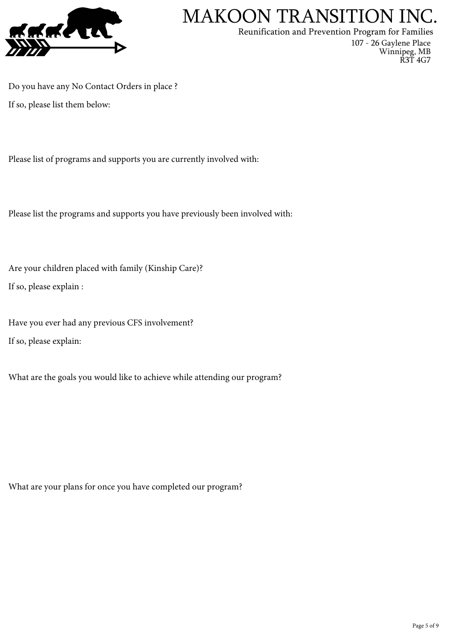

Reunification and Prevention Program for Families

107 - 26 Gaylene Place Winnipeg, MB R3T 4G7

Do you have any No Contact Orders in place ? If so, please list them below:

Please list of programs and supports you are currently involved with:

Please list the programs and supports you have previously been involved with:

Are your children placed with family (Kinship Care)? If so, please explain :

Have you ever had any previous CFS involvement? If so, please explain:

What are the goals you would like to achieve while attending our program?

What are your plans for once you have completed our program?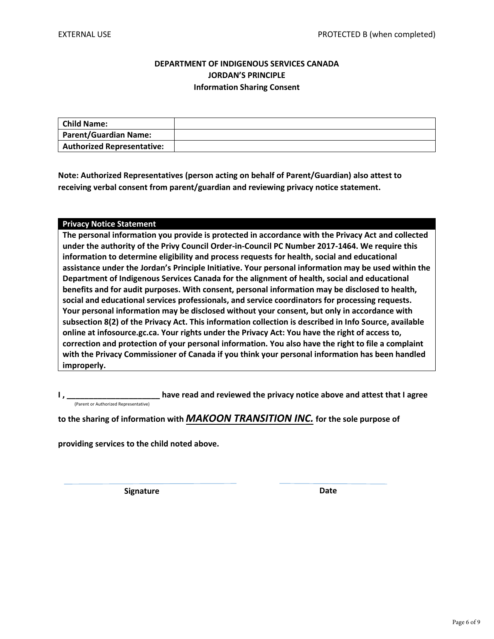### **DEPARTMENT OF INDIGENOUS SERVICES CANADA JORDAN'S PRINCIPLE Information Sharing Consent**

| Child Name:                       |  |
|-----------------------------------|--|
| Parent/Guardian Name:             |  |
| <b>Authorized Representative:</b> |  |

**Note: Authorized Representatives (person acting on behalf of Parent/Guardian) also attest to receiving verbal consent from parent/guardian and reviewing privacy notice statement.**

#### **Privacy Notice Statement**

**The personal information you provide is protected in accordance with the Privacy Act and collected under the authority of the Privy Council Order-in-Council PC Number 2017-1464. We require this information to determine eligibility and process requests for health, social and educational assistance under the Jordan's Principle Initiative. Your personal information may be used within the Department of Indigenous Services Canada for the alignment of health, social and educational benefits and for audit purposes. With consent, personal information may be disclosed to health, social and educational services professionals, and service coordinators for processing requests. Your personal information may be disclosed without your consent, but only in accordance with subsection 8(2) of the Privacy Act. This information collection is described in Info Source, available online at infosource.gc.ca. Your rights under the Privacy Act: You have the right of access to, correction and protection of your personal information. You also have the right to file a complaint with the Privacy Commissioner of Canada if you think your personal information has been handled improperly.**

have read and reviewed the privacy notice above and attest that I agree (Parent or Authorized Representative)

**to the sharing of information with** *MAKOON TRANSITION INC.* **for the sole purpose of**

**providing services to the child noted above.** 

**Signature Date**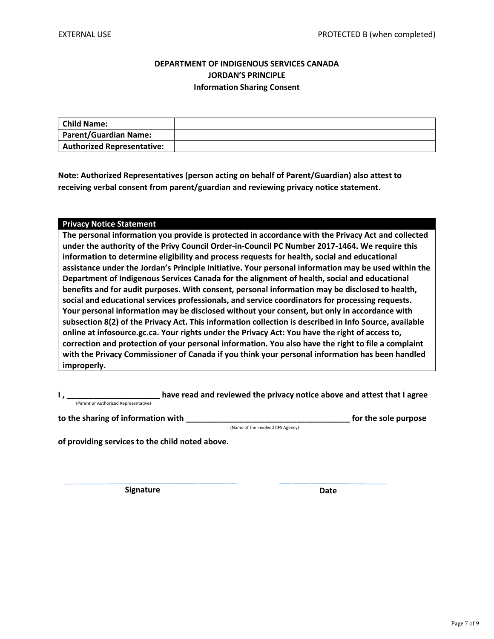### **DEPARTMENT OF INDIGENOUS SERVICES CANADA JORDAN'S PRINCIPLE Information Sharing Consent**

| Child Name:                       |  |
|-----------------------------------|--|
| Parent/Guardian Name:             |  |
| <b>Authorized Representative:</b> |  |

**Note: Authorized Representatives (person acting on behalf of Parent/Guardian) also attest to receiving verbal consent from parent/guardian and reviewing privacy notice statement.**

#### **Privacy Notice Statement**

**The personal information you provide is protected in accordance with the Privacy Act and collected under the authority of the Privy Council Order-in-Council PC Number 2017-1464. We require this information to determine eligibility and process requests for health, social and educational assistance under the Jordan's Principle Initiative. Your personal information may be used within the Department of Indigenous Services Canada for the alignment of health, social and educational benefits and for audit purposes. With consent, personal information may be disclosed to health, social and educational services professionals, and service coordinators for processing requests. Your personal information may be disclosed without your consent, but only in accordance with subsection 8(2) of the Privacy Act. This information collection is described in Info Source, available online at infosource.gc.ca. Your rights under the Privacy Act: You have the right of access to, correction and protection of your personal information. You also have the right to file a complaint with the Privacy Commissioner of Canada if you think your personal information has been handled improperly.**

have read and reviewed the privacy notice above and attest that I agree (Parent or Authorized Representative)

**to the sharing of information with \_\_\_\_\_\_\_\_\_\_\_\_\_\_\_\_\_\_\_\_\_\_\_\_\_\_\_\_\_\_\_\_\_\_\_\_\_ for the sole purpose**

(Name of the involved CFS Agency)

**of providing services to the child noted above.** 

**Signature Date**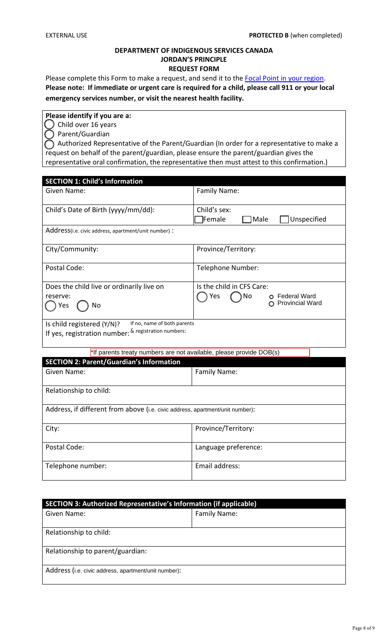### **DEPARTMENT OF INDIGENOUS SERVICES CANADA JORDAN'S PRINCIPLE REQUEST FORM**

Please complete this Form to make a request, and send it to the Focal Point [in your region.](http://www.canada.ca/jordans-principle) **Please note: If immediate or urgent care is required for a child, please call 911 or your local emergency services number, or visit the nearest health facility.** 

## **Please identify if you are a:**

⃝ Child over 16 years

⃝ Parent/Guardian

 ⃝ Authorized Representative of the Parent/Guardian (In order for a representative to make a representative oral confirmation, the representative then must attest to this confirmation.) request on behalf of the parent/guardian, please ensure the parent/guardian gives the

| <b>SECTION 1: Child's Information</b>                                         |                                            |
|-------------------------------------------------------------------------------|--------------------------------------------|
| Given Name:                                                                   | Family Name:                               |
| Child's Date of Birth (yyyy/mm/dd):                                           | Child's sex:                               |
|                                                                               | Unspecified<br>Female <sup>]</sup><br>Male |
| Address(i.e. civic address, apartment/unit number) :                          |                                            |
| City/Community:                                                               | Province/Territory:                        |
| Postal Code:                                                                  | Telephone Number:                          |
| Does the child live or ordinarily live on                                     | Is the child in CFS Care:                  |
| reserve:                                                                      | O Federal Ward<br>Yes<br>No                |
| ) Yes<br>No                                                                   | O Provincial Ward                          |
| If no, name of both parents<br>Is child registered (Y/N)?                     |                                            |
| If yes, registration number: & registration numbers:                          |                                            |
| *If parents treaty numbers are not available, please provide DOB(s)           |                                            |
| <b>SECTION 2: Parent/Guardian's Information</b>                               |                                            |
| Given Name:                                                                   | Family Name:                               |
| Relationship to child:                                                        |                                            |
| Address, if different from above (i.e. civic address, apartment/unit number): |                                            |
| City:                                                                         | Province/Territory:                        |
| Postal Code:                                                                  | Language preference:                       |
| Telephone number:                                                             | Email address:                             |

| SECTION 3: Authorized Representative's Information (if applicable) |              |  |
|--------------------------------------------------------------------|--------------|--|
| Given Name:                                                        | Family Name: |  |
|                                                                    |              |  |
| Relationship to child:                                             |              |  |
| Relationship to parent/guardian:                                   |              |  |
| Address (i.e. civic address, apartment/unit number):               |              |  |